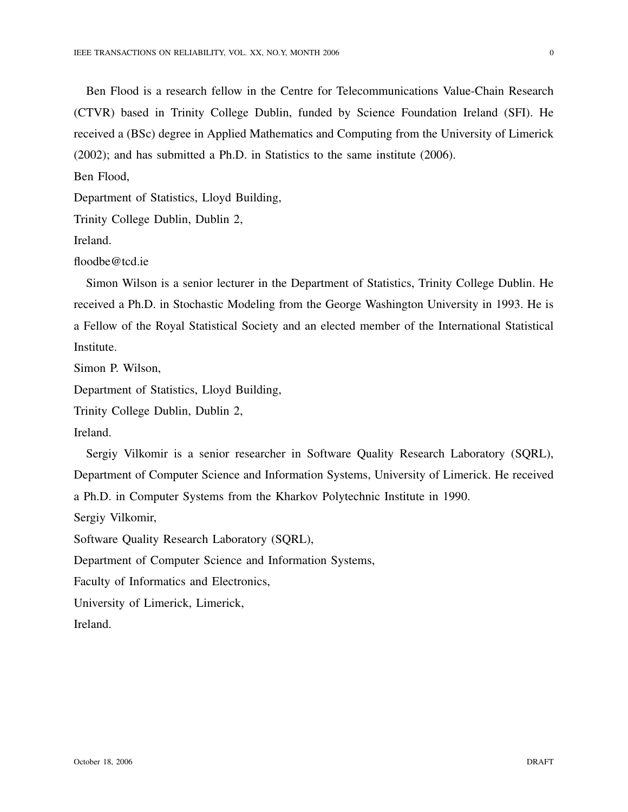Ben Flood is a research fellow in the Centre for Telecommunications Value-Chain Research (CTVR) based in Trinity College Dublin, funded by Science Foundation Ireland (SFI). He received a (BSc) degree in Applied Mathematics and Computing from the University of Limerick (2002); and has submitted a Ph.D. in Statistics to the same institute (2006).

Ben Flood,

Department of Statistics, Lloyd Building,

Trinity College Dublin, Dublin 2,

Ireland.

floodbe@tcd.ie

Simon Wilson is a senior lecturer in the Department of Statistics, Trinity College Dublin. He received a Ph.D. in Stochastic Modeling from the George Washington University in 1993. He is a Fellow of the Royal Statistical Society and an elected member of the International Statistical Institute.

Simon P. Wilson,

Department of Statistics, Lloyd Building,

Trinity College Dublin, Dublin 2,

Ireland.

Sergiy Vilkomir is a senior researcher in Software Quality Research Laboratory (SQRL), Department of Computer Science and Information Systems, University of Limerick. He received a Ph.D. in Computer Systems from the Kharkov Polytechnic Institute in 1990.

Sergiy Vilkomir,

Software Quality Research Laboratory (SQRL),

Department of Computer Science and Information Systems,

Faculty of Informatics and Electronics,

University of Limerick, Limerick,

Ireland.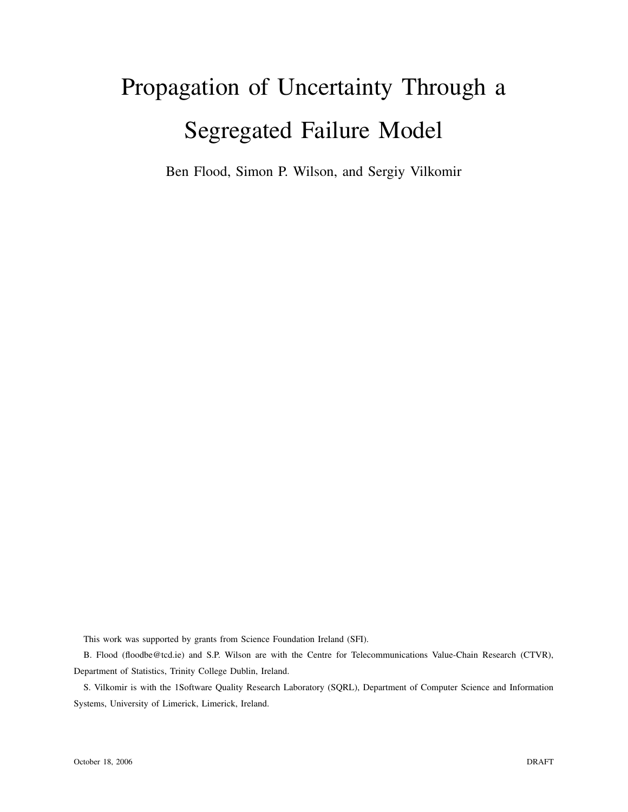# Propagation of Uncertainty Through a Segregated Failure Model

Ben Flood, Simon P. Wilson, and Sergiy Vilkomir

This work was supported by grants from Science Foundation Ireland (SFI).

B. Flood (floodbe@tcd.ie) and S.P. Wilson are with the Centre for Telecommunications Value-Chain Research (CTVR), Department of Statistics, Trinity College Dublin, Ireland.

S. Vilkomir is with the 1Software Quality Research Laboratory (SQRL), Department of Computer Science and Information Systems, University of Limerick, Limerick, Ireland.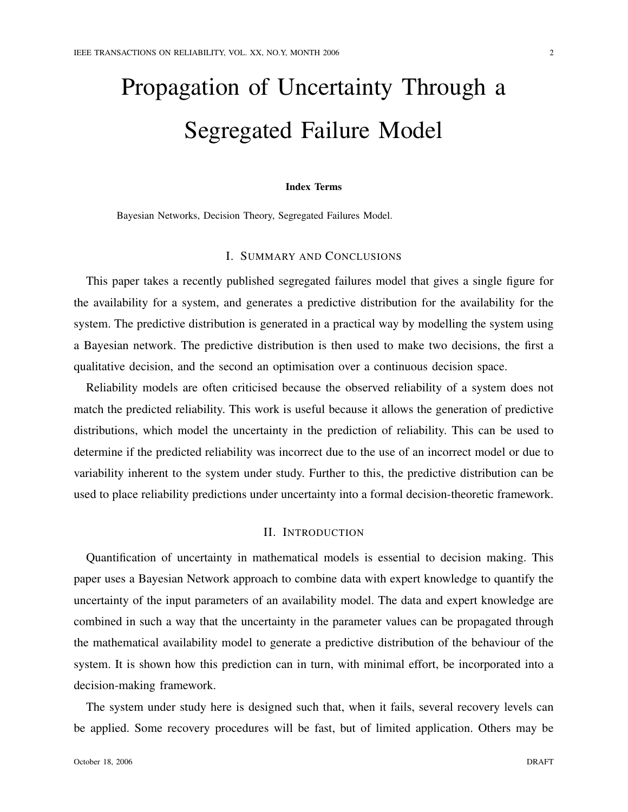# Propagation of Uncertainty Through a Segregated Failure Model

## Index Terms

Bayesian Networks, Decision Theory, Segregated Failures Model.

# I. SUMMARY AND CONCLUSIONS

This paper takes a recently published segregated failures model that gives a single figure for the availability for a system, and generates a predictive distribution for the availability for the system. The predictive distribution is generated in a practical way by modelling the system using a Bayesian network. The predictive distribution is then used to make two decisions, the first a qualitative decision, and the second an optimisation over a continuous decision space.

Reliability models are often criticised because the observed reliability of a system does not match the predicted reliability. This work is useful because it allows the generation of predictive distributions, which model the uncertainty in the prediction of reliability. This can be used to determine if the predicted reliability was incorrect due to the use of an incorrect model or due to variability inherent to the system under study. Further to this, the predictive distribution can be used to place reliability predictions under uncertainty into a formal decision-theoretic framework.

## II. INTRODUCTION

Quantification of uncertainty in mathematical models is essential to decision making. This paper uses a Bayesian Network approach to combine data with expert knowledge to quantify the uncertainty of the input parameters of an availability model. The data and expert knowledge are combined in such a way that the uncertainty in the parameter values can be propagated through the mathematical availability model to generate a predictive distribution of the behaviour of the system. It is shown how this prediction can in turn, with minimal effort, be incorporated into a decision-making framework.

The system under study here is designed such that, when it fails, several recovery levels can be applied. Some recovery procedures will be fast, but of limited application. Others may be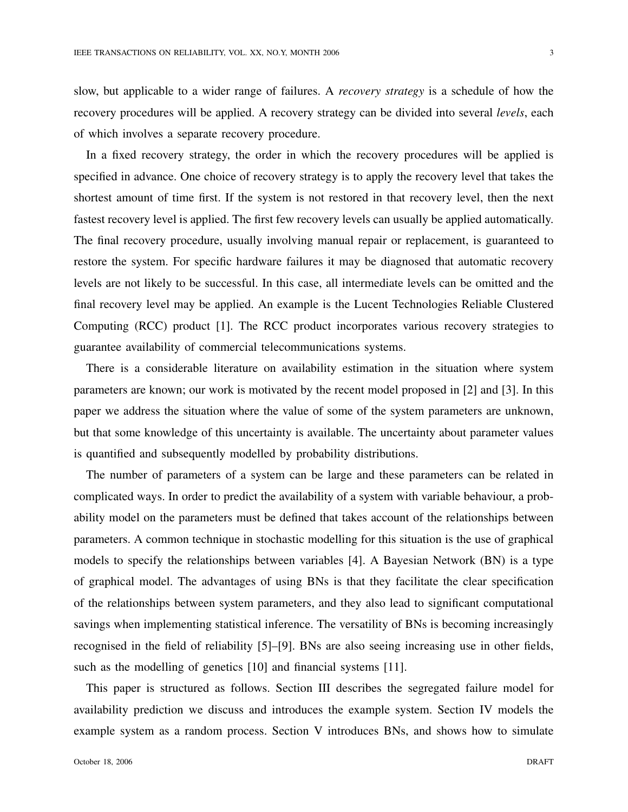slow, but applicable to a wider range of failures. A *recovery strategy* is a schedule of how the recovery procedures will be applied. A recovery strategy can be divided into several *levels*, each of which involves a separate recovery procedure.

In a fixed recovery strategy, the order in which the recovery procedures will be applied is specified in advance. One choice of recovery strategy is to apply the recovery level that takes the shortest amount of time first. If the system is not restored in that recovery level, then the next fastest recovery level is applied. The first few recovery levels can usually be applied automatically. The final recovery procedure, usually involving manual repair or replacement, is guaranteed to restore the system. For specific hardware failures it may be diagnosed that automatic recovery levels are not likely to be successful. In this case, all intermediate levels can be omitted and the final recovery level may be applied. An example is the Lucent Technologies Reliable Clustered Computing (RCC) product [1]. The RCC product incorporates various recovery strategies to guarantee availability of commercial telecommunications systems.

There is a considerable literature on availability estimation in the situation where system parameters are known; our work is motivated by the recent model proposed in [2] and [3]. In this paper we address the situation where the value of some of the system parameters are unknown, but that some knowledge of this uncertainty is available. The uncertainty about parameter values is quantified and subsequently modelled by probability distributions.

The number of parameters of a system can be large and these parameters can be related in complicated ways. In order to predict the availability of a system with variable behaviour, a probability model on the parameters must be defined that takes account of the relationships between parameters. A common technique in stochastic modelling for this situation is the use of graphical models to specify the relationships between variables [4]. A Bayesian Network (BN) is a type of graphical model. The advantages of using BNs is that they facilitate the clear specification of the relationships between system parameters, and they also lead to significant computational savings when implementing statistical inference. The versatility of BNs is becoming increasingly recognised in the field of reliability [5]–[9]. BNs are also seeing increasing use in other fields, such as the modelling of genetics [10] and financial systems [11].

This paper is structured as follows. Section III describes the segregated failure model for availability prediction we discuss and introduces the example system. Section IV models the example system as a random process. Section V introduces BNs, and shows how to simulate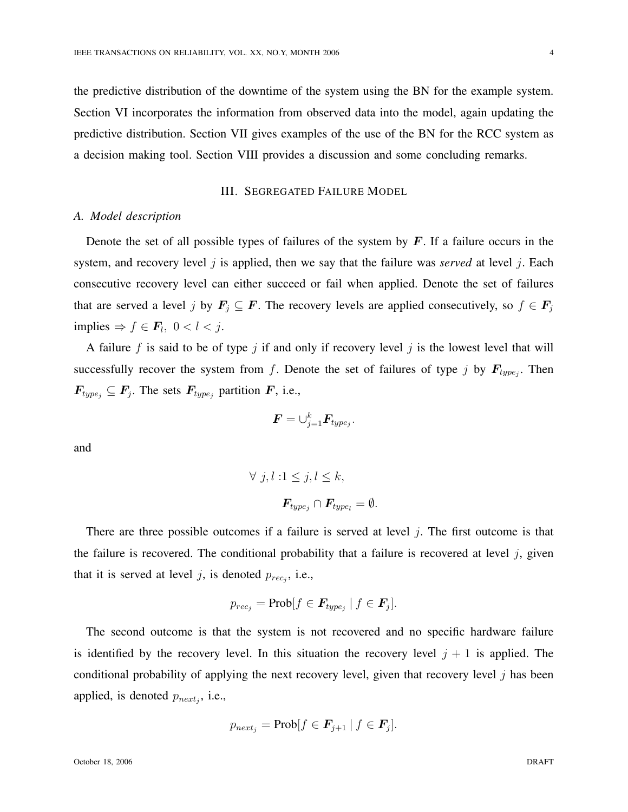the predictive distribution of the downtime of the system using the BN for the example system. Section VI incorporates the information from observed data into the model, again updating the predictive distribution. Section VII gives examples of the use of the BN for the RCC system as a decision making tool. Section VIII provides a discussion and some concluding remarks.

## III. SEGREGATED FAILURE MODEL

#### *A. Model description*

Denote the set of all possible types of failures of the system by  $\vec{F}$ . If a failure occurs in the system, and recovery level  $j$  is applied, then we say that the failure was *served* at level  $j$ . Each consecutive recovery level can either succeed or fail when applied. Denote the set of failures that are served a level j by  $F_j \subseteq F$ . The recovery levels are applied consecutively, so  $f \in F_j$ implies  $\Rightarrow$   $f \in \mathbf{F}_l$ ,  $0 < l < j$ .

A failure f is said to be of type j if and only if recovery level j is the lowest level that will successfully recover the system from f. Denote the set of failures of type j by  $F_{type_j}$ . Then  $F_{type_j} \subseteq F_j$ . The sets  $F_{type_j}$  partition F, i.e.,

$$
\boldsymbol{F} = \cup_{j=1}^k \boldsymbol{F}_{type_j}.
$$

and

$$
\forall j, l : 1 \leq j, l \leq k,
$$
  

$$
\mathbf{F}_{type_j} \cap \mathbf{F}_{type_l} = \emptyset.
$$

There are three possible outcomes if a failure is served at level  $j$ . The first outcome is that the failure is recovered. The conditional probability that a failure is recovered at level  $j$ , given that it is served at level j, is denoted  $p_{rec_j}$ , i.e.,

$$
p_{rec_j} = \text{Prob}[f \in \mathbf{F}_{type_j} \mid f \in \mathbf{F}_j].
$$

The second outcome is that the system is not recovered and no specific hardware failure is identified by the recovery level. In this situation the recovery level  $j + 1$  is applied. The conditional probability of applying the next recovery level, given that recovery level  $j$  has been applied, is denoted  $p_{next_j}$ , i.e.,

$$
p_{next_j} = \text{Prob}[f \in \mathbf{F}_{j+1} \mid f \in \mathbf{F}_j].
$$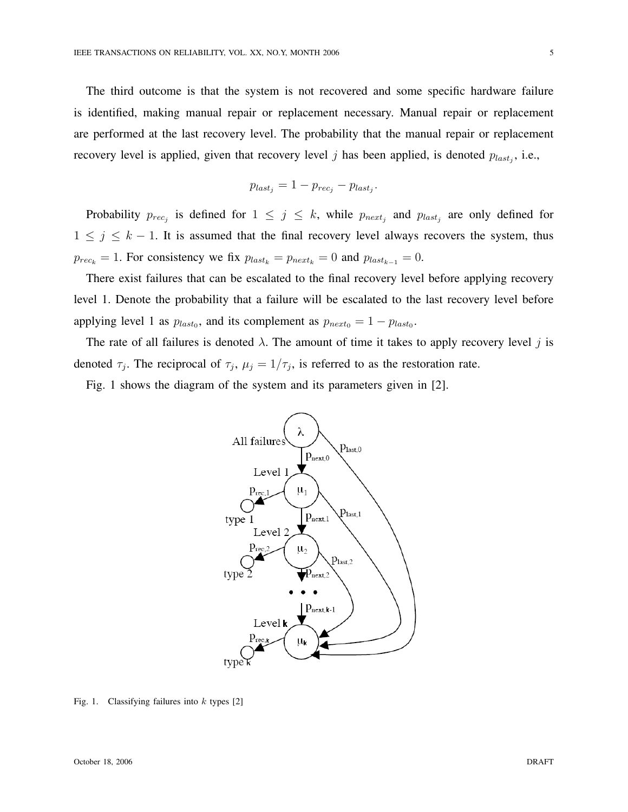The third outcome is that the system is not recovered and some specific hardware failure is identified, making manual repair or replacement necessary. Manual repair or replacement are performed at the last recovery level. The probability that the manual repair or replacement recovery level is applied, given that recovery level j has been applied, is denoted  $p_{last_j}$ , i.e.,

$$
p_{last_j} = 1 - p_{rec_j} - p_{last_j}.
$$

Probability  $p_{rec_j}$  is defined for  $1 \leq j \leq k$ , while  $p_{next_j}$  and  $p_{last_j}$  are only defined for  $1 \leq j \leq k - 1$ . It is assumed that the final recovery level always recovers the system, thus  $p_{rec_k} = 1$ . For consistency we fix  $p_{last_k} = p_{next_k} = 0$  and  $p_{last_{k-1}} = 0$ .

There exist failures that can be escalated to the final recovery level before applying recovery level 1. Denote the probability that a failure will be escalated to the last recovery level before applying level 1 as  $p_{last_0}$ , and its complement as  $p_{next_0} = 1 - p_{last_0}$ .

The rate of all failures is denoted  $\lambda$ . The amount of time it takes to apply recovery level j is denoted  $\tau_j$ . The reciprocal of  $\tau_j$ ,  $\mu_j = 1/\tau_j$ , is referred to as the restoration rate.

Fig. 1 shows the diagram of the system and its parameters given in [2].



Fig. 1. Classifying failures into  $k$  types [2]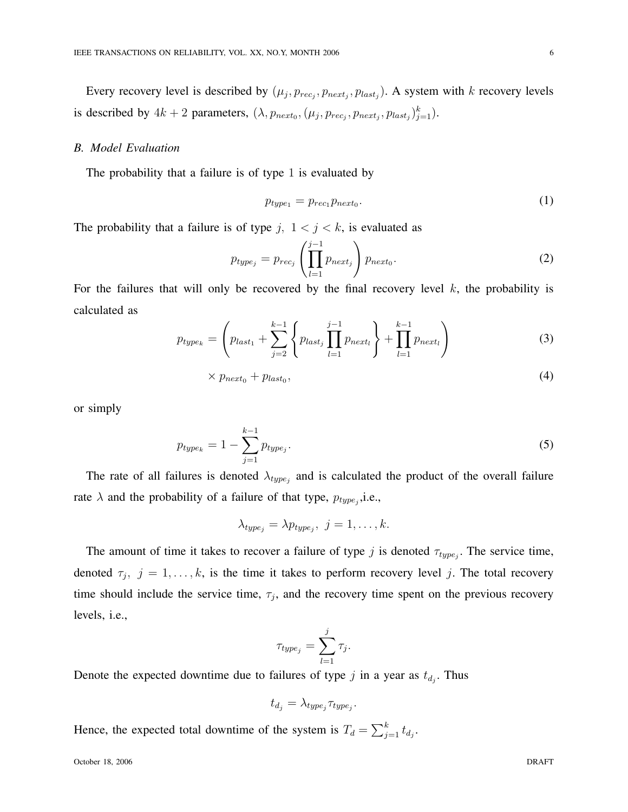Every recovery level is described by  $(\mu_j, p_{rec_j}, p_{next_j}, p_{last_j})$ . A system with k recovery levels is described by  $4k+2$  parameters,  $(\lambda, p_{next_0}, (\mu_j, p_{rec_j}, p_{next_j}, p_{last_j})_{j=1}^k)$ .

## *B. Model Evaluation*

The probability that a failure is of type 1 is evaluated by

$$
p_{type_1} = p_{rec_1} p_{next_0}.\tag{1}
$$

The probability that a failure is of type j,  $1 < j < k$ , is evaluated as

$$
p_{type_j} = p_{rec_j} \left( \prod_{l=1}^{j-1} p_{next_j} \right) p_{next_0}.
$$
 (2)

For the failures that will only be recovered by the final recovery level  $k$ , the probability is calculated as  $\overline{a}$  $\mathbf{r}$ !<br>}

$$
p_{type_k} = \left( p_{last_1} + \sum_{j=2}^{k-1} \left\{ p_{last_j} \prod_{l=1}^{j-1} p_{next_l} \right\} + \prod_{l=1}^{k-1} p_{next_l} \right) \tag{3}
$$

$$
\times p_{next_0} + p_{last_0},\tag{4}
$$

or simply

$$
p_{type_k} = 1 - \sum_{j=1}^{k-1} p_{type_j}.
$$
\n(5)

The rate of all failures is denoted  $\lambda_{type_j}$  and is calculated the product of the overall failure rate  $\lambda$  and the probability of a failure of that type,  $p_{type_j}$ , i.e.,

$$
\lambda_{type_j} = \lambda p_{type_j}, \ j = 1, \ldots, k.
$$

The amount of time it takes to recover a failure of type j is denoted  $\tau_{type_j}$ . The service time, denoted  $\tau_j$ ,  $j = 1, \ldots, k$ , is the time it takes to perform recovery level j. The total recovery time should include the service time,  $\tau_j$ , and the recovery time spent on the previous recovery levels, i.e.,

$$
\tau_{type_j} = \sum_{l=1}^j \tau_j.
$$

Denote the expected downtime due to failures of type  $j$  in a year as  $t_{d_j}$ . Thus

$$
t_{d_j} = \lambda_{type_j} \tau_{type_j}.
$$

Hence, the expected total downtime of the system is  $T_d = \sum_{i=1}^{k} T_i$  $_{j=1}^{\kappa}\,t_{d_j}.$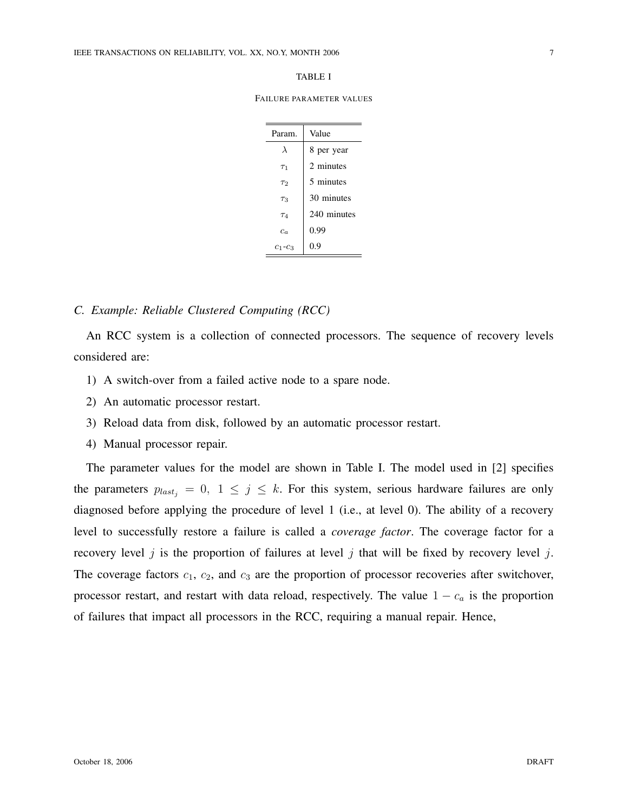#### TABLE I

FAILURE PARAMETER VALUES

| Param.        | Value       |  |  |
|---------------|-------------|--|--|
| λ             | 8 per year  |  |  |
| $\tau_1$      | 2 minutes   |  |  |
| $\tau_2$      | 5 minutes   |  |  |
| $\tau_3$      | 30 minutes  |  |  |
| $\tau_4$      | 240 minutes |  |  |
| $c_{\alpha}$  | 0.99        |  |  |
| $c_1$ - $c_3$ | 0.9         |  |  |

## *C. Example: Reliable Clustered Computing (RCC)*

An RCC system is a collection of connected processors. The sequence of recovery levels considered are:

- 1) A switch-over from a failed active node to a spare node.
- 2) An automatic processor restart.
- 3) Reload data from disk, followed by an automatic processor restart.
- 4) Manual processor repair.

The parameter values for the model are shown in Table I. The model used in [2] specifies the parameters  $p_{last_i} = 0$ ,  $1 \le j \le k$ . For this system, serious hardware failures are only diagnosed before applying the procedure of level 1 (i.e., at level 0). The ability of a recovery level to successfully restore a failure is called a *coverage factor*. The coverage factor for a recovery level j is the proportion of failures at level j that will be fixed by recovery level j. The coverage factors  $c_1$ ,  $c_2$ , and  $c_3$  are the proportion of processor recoveries after switchover, processor restart, and restart with data reload, respectively. The value  $1 - c_a$  is the proportion of failures that impact all processors in the RCC, requiring a manual repair. Hence,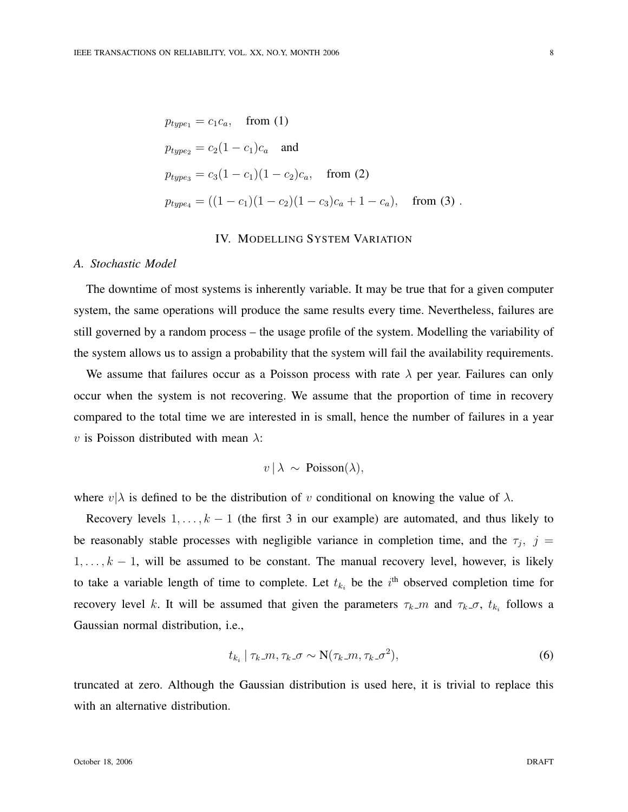$$
p_{type_1} = c_1 c_a, \text{ from (1)}
$$
  
\n
$$
p_{type_2} = c_2 (1 - c_1) c_a \text{ and}
$$
  
\n
$$
p_{type_3} = c_3 (1 - c_1) (1 - c_2) c_a, \text{ from (2)}
$$
  
\n
$$
p_{type_4} = ((1 - c_1) (1 - c_2) (1 - c_3) c_a + 1 - c_a), \text{ from (3)}.
$$

# IV. MODELLING SYSTEM VARIATION

#### *A. Stochastic Model*

The downtime of most systems is inherently variable. It may be true that for a given computer system, the same operations will produce the same results every time. Nevertheless, failures are still governed by a random process – the usage profile of the system. Modelling the variability of the system allows us to assign a probability that the system will fail the availability requirements.

We assume that failures occur as a Poisson process with rate  $\lambda$  per year. Failures can only occur when the system is not recovering. We assume that the proportion of time in recovery compared to the total time we are interested in is small, hence the number of failures in a year v is Poisson distributed with mean  $\lambda$ :

$$
v \,|\, \lambda \sim \text{Poisson}(\lambda),
$$

where  $v|\lambda$  is defined to be the distribution of v conditional on knowing the value of  $\lambda$ .

Recovery levels  $1, \ldots, k - 1$  (the first 3 in our example) are automated, and thus likely to be reasonably stable processes with negligible variance in completion time, and the  $\tau_j$ ,  $j =$  $1, \ldots, k - 1$ , will be assumed to be constant. The manual recovery level, however, is likely to take a variable length of time to complete. Let  $t_{k_i}$  be the  $i^{\text{th}}$  observed completion time for recovery level k. It will be assumed that given the parameters  $\tau_{k}$  m and  $\tau_{k}$  o,  $t_{k_i}$  follows a Gaussian normal distribution, i.e.,

$$
t_{k_i} \mid \tau_k \cdot m, \tau_k \cdot \sigma \sim \mathcal{N}(\tau_k \cdot m, \tau_k \cdot \sigma^2), \tag{6}
$$

truncated at zero. Although the Gaussian distribution is used here, it is trivial to replace this with an alternative distribution.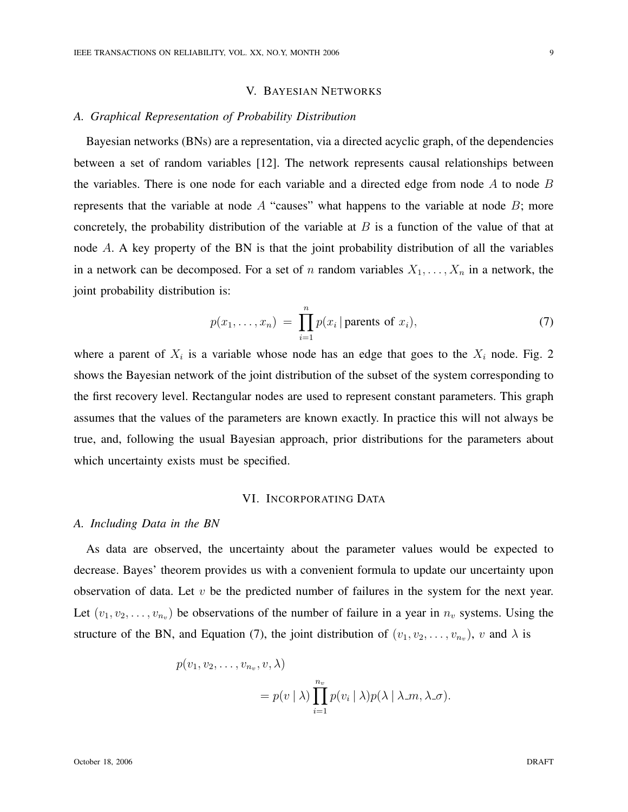## V. BAYESIAN NETWORKS

## *A. Graphical Representation of Probability Distribution*

Bayesian networks (BNs) are a representation, via a directed acyclic graph, of the dependencies between a set of random variables [12]. The network represents causal relationships between the variables. There is one node for each variable and a directed edge from node  $A$  to node  $B$ represents that the variable at node  $A$  "causes" what happens to the variable at node  $B$ ; more concretely, the probability distribution of the variable at  $B$  is a function of the value of that at node A. A key property of the BN is that the joint probability distribution of all the variables in a network can be decomposed. For a set of n random variables  $X_1, \ldots, X_n$  in a network, the joint probability distribution is:

$$
p(x_1, \ldots, x_n) = \prod_{i=1}^n p(x_i \mid \text{parents of } x_i), \tag{7}
$$

where a parent of  $X_i$  is a variable whose node has an edge that goes to the  $X_i$  node. Fig. 2 shows the Bayesian network of the joint distribution of the subset of the system corresponding to the first recovery level. Rectangular nodes are used to represent constant parameters. This graph assumes that the values of the parameters are known exactly. In practice this will not always be true, and, following the usual Bayesian approach, prior distributions for the parameters about which uncertainty exists must be specified.

#### VI. INCORPORATING DATA

## *A. Including Data in the BN*

As data are observed, the uncertainty about the parameter values would be expected to decrease. Bayes' theorem provides us with a convenient formula to update our uncertainty upon observation of data. Let  $v$  be the predicted number of failures in the system for the next year. Let  $(v_1, v_2, \ldots, v_{n_v})$  be observations of the number of failure in a year in  $n_v$  systems. Using the structure of the BN, and Equation (7), the joint distribution of  $(v_1, v_2, \ldots, v_{n_v})$ , v and  $\lambda$  is

$$
p(v_1, v_2, \dots, v_{n_v}, v, \lambda)
$$
  
=  $p(v \mid \lambda) \prod_{i=1}^{n_v} p(v_i \mid \lambda) p(\lambda \mid \lambda_m, \lambda_m)$ .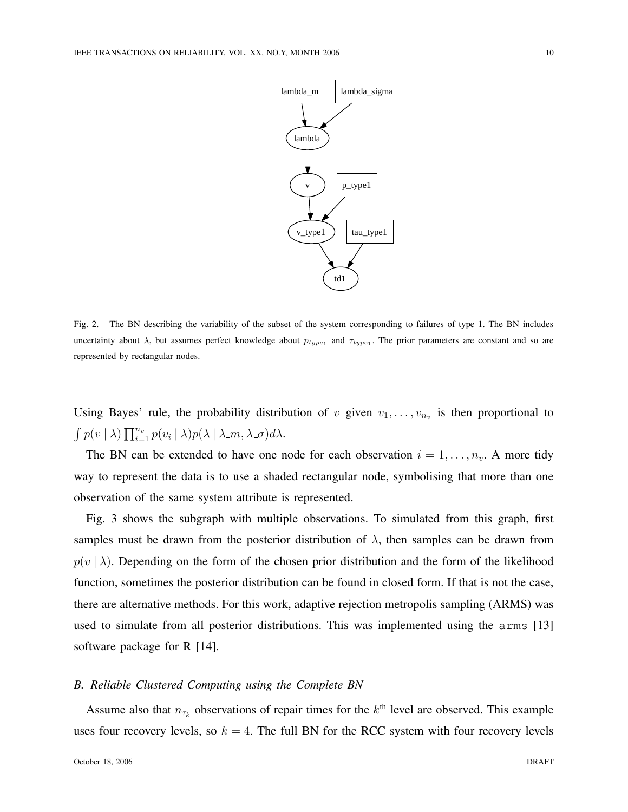

Fig. 2. The BN describing the variability of the subset of the system corresponding to failures of type 1. The BN includes uncertainty about  $\lambda$ , but assumes perfect knowledge about  $p_{type_1}$  and  $\tau_{type_1}$ . The prior parameters are constant and so are represented by rectangular nodes.

Using Bayes' rule, the probability distribution of v given  $v_1, \ldots, v_{n_v}$  is then proportional to R  $p(v | \lambda) \prod_{i=1}^{n_v}$  $\sum_{i=1}^{n_v} p(v_i \mid \lambda) p(\lambda \mid \lambda \_m, \lambda \_sigma) d\lambda.$ 

The BN can be extended to have one node for each observation  $i = 1, \ldots, n_v$ . A more tidy way to represent the data is to use a shaded rectangular node, symbolising that more than one observation of the same system attribute is represented.

Fig. 3 shows the subgraph with multiple observations. To simulated from this graph, first samples must be drawn from the posterior distribution of  $\lambda$ , then samples can be drawn from  $p(v | \lambda)$ . Depending on the form of the chosen prior distribution and the form of the likelihood function, sometimes the posterior distribution can be found in closed form. If that is not the case, there are alternative methods. For this work, adaptive rejection metropolis sampling (ARMS) was used to simulate from all posterior distributions. This was implemented using the arms [13] software package for R [14].

## *B. Reliable Clustered Computing using the Complete BN*

Assume also that  $n_{\tau_k}$  observations of repair times for the  $k^{\text{th}}$  level are observed. This example uses four recovery levels, so  $k = 4$ . The full BN for the RCC system with four recovery levels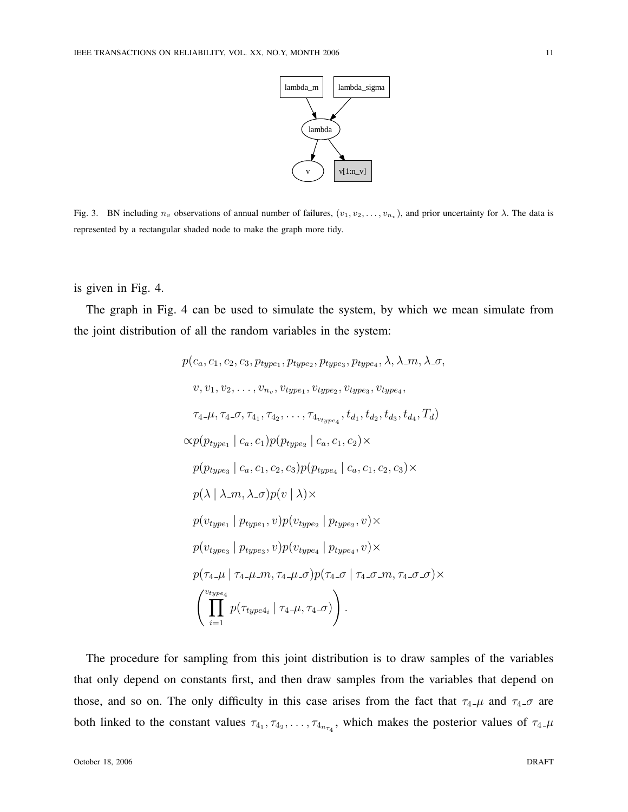

Fig. 3. BN including  $n_v$  observations of annual number of failures,  $(v_1, v_2, \ldots, v_{n_v})$ , and prior uncertainty for  $\lambda$ . The data is represented by a rectangular shaded node to make the graph more tidy.

is given in Fig. 4.

The graph in Fig. 4 can be used to simulate the system, by which we mean simulate from the joint distribution of all the random variables in the system:

$$
p(c_a, c_1, c_2, c_3, p_{type_1}, p_{type_2}, p_{type_3}, p_{type_4}, \lambda, \lambda_m, \lambda_{-\sigma},
$$
  
\n
$$
v, v_1, v_2, \ldots, v_{n_v}, v_{type_1}, v_{type_2}, v_{type_3}, v_{type_4},
$$
  
\n
$$
\tau_4-\mu, \tau_4-\sigma, \tau_{4_1}, \tau_{4_2}, \ldots, \tau_{4_{v_{type_4}}}, t_{d_1}, t_{d_2}, t_{d_3}, t_{d_4}, T_d)
$$
  
\n
$$
\propto p(p_{type_1} \mid c_a, c_1) p(p_{type_2} \mid c_a, c_1, c_2) \times
$$
  
\n
$$
p(p_{type_3} \mid c_a, c_1, c_2, c_3) p(p_{type_4} \mid c_a, c_1, c_2, c_3) \times
$$
  
\n
$$
p(\lambda \mid \lambda_m, \lambda_{-\sigma}) p(v \mid \lambda) \times
$$
  
\n
$$
p(v_{type_1} \mid p_{type_1}, v) p(v_{type_2} \mid p_{type_2}, v) \times
$$
  
\n
$$
p(v_{type_3} \mid p_{type_3}, v) p(v_{type_4} \mid p_{type_4}, v) \times
$$
  
\n
$$
p(\tau_4-\mu \mid \tau_4-\mu_m, \tau_4-\mu_{-\sigma}) p(\tau_4-\sigma \mid \tau_4-\sigma_m, \tau_4-\sigma_{-\sigma}) \times
$$
  
\n
$$
\left(\prod_{i=1}^{v_{type_4}} p(\tau_{type_4}, \mid \tau_4-\mu, \tau_4-\sigma)\right).
$$

The procedure for sampling from this joint distribution is to draw samples of the variables that only depend on constants first, and then draw samples from the variables that depend on those, and so on. The only difficulty in this case arises from the fact that  $\tau_4 \mu$  and  $\tau_4 \sigma$  are both linked to the constant values  $\tau_{4_1}, \tau_{4_2}, \ldots, \tau_{4_{n_{\tau_4}}}$ , which makes the posterior values of  $\tau_{4-\mu}$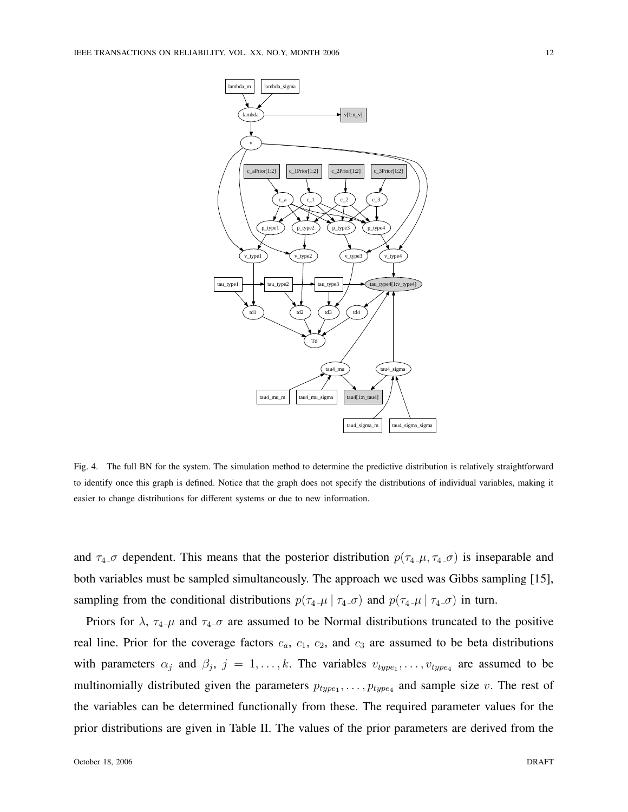

Fig. 4. The full BN for the system. The simulation method to determine the predictive distribution is relatively straightforward to identify once this graph is defined. Notice that the graph does not specify the distributions of individual variables, making it easier to change distributions for different systems or due to new information.

and  $\tau_4$  *σ* dependent. This means that the posterior distribution  $p(\tau_4 \mu, \tau_4 \sigma)$  is inseparable and both variables must be sampled simultaneously. The approach we used was Gibbs sampling [15], sampling from the conditional distributions  $p(\tau_4 \mu | \tau_4 \sigma)$  and  $p(\tau_4 \mu | \tau_4 \sigma)$  in turn.

Priors for  $\lambda$ ,  $\tau_4$ - $\mu$  and  $\tau_4$ - $\sigma$  are assumed to be Normal distributions truncated to the positive real line. Prior for the coverage factors  $c_a$ ,  $c_1$ ,  $c_2$ , and  $c_3$  are assumed to be beta distributions with parameters  $\alpha_j$  and  $\beta_j$ ,  $j = 1, ..., k$ . The variables  $v_{type_1}, ..., v_{type_4}$  are assumed to be multinomially distributed given the parameters  $p_{type_1}, \ldots, p_{type_4}$  and sample size v. The rest of the variables can be determined functionally from these. The required parameter values for the prior distributions are given in Table II. The values of the prior parameters are derived from the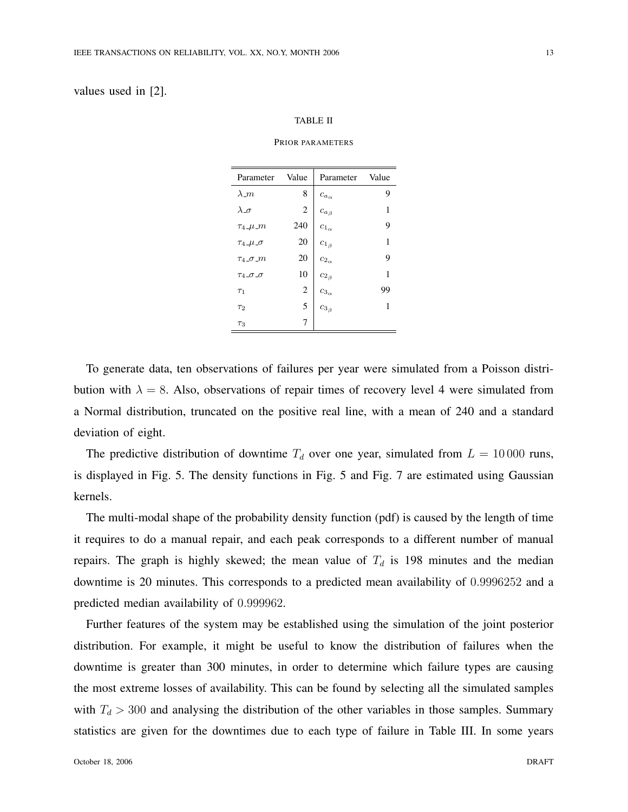## values used in [2].

#### TABLE II

#### PRIOR PARAMETERS

| Parameter                                 | Value          | Parameter        | Value |
|-------------------------------------------|----------------|------------------|-------|
| $\lambda_m$                               | 8              | $ca_{\alpha}$    | 9     |
| $\lambda$ <sub>-<math>\sigma</math></sub> | $\overline{2}$ | $ca_{\beta}$     | 1     |
| $\tau_4$ _ $\mu$ _ $m$                    | 240            | $c_{1_{\alpha}}$ | 9     |
| $\tau_4$ _ $\mu$ _ $\sigma$               | 20             | $c_{1_{\beta}}$  | 1     |
| $\tau_4$ _ $\sigma$ _ $m$                 | 20             | $c_{2_\alpha}$   | 9     |
| $T_4 \_\sigma \_\sigma$                   | 10             | $c_{2\beta}$     | 1     |
| $\tau_1$                                  | $\overline{2}$ | $c_{3_\alpha}$   | 99    |
| $\tau_2$                                  | 5              | $c_{3_\beta}$    | 1     |
| $\tau_3$                                  | 7              |                  |       |

To generate data, ten observations of failures per year were simulated from a Poisson distribution with  $\lambda = 8$ . Also, observations of repair times of recovery level 4 were simulated from a Normal distribution, truncated on the positive real line, with a mean of 240 and a standard deviation of eight.

The predictive distribution of downtime  $T_d$  over one year, simulated from  $L = 10000$  runs, is displayed in Fig. 5. The density functions in Fig. 5 and Fig. 7 are estimated using Gaussian kernels.

The multi-modal shape of the probability density function (pdf) is caused by the length of time it requires to do a manual repair, and each peak corresponds to a different number of manual repairs. The graph is highly skewed; the mean value of  $T_d$  is 198 minutes and the median downtime is 20 minutes. This corresponds to a predicted mean availability of 0.9996252 and a predicted median availability of 0.999962.

Further features of the system may be established using the simulation of the joint posterior distribution. For example, it might be useful to know the distribution of failures when the downtime is greater than 300 minutes, in order to determine which failure types are causing the most extreme losses of availability. This can be found by selecting all the simulated samples with  $T_d > 300$  and analysing the distribution of the other variables in those samples. Summary statistics are given for the downtimes due to each type of failure in Table III. In some years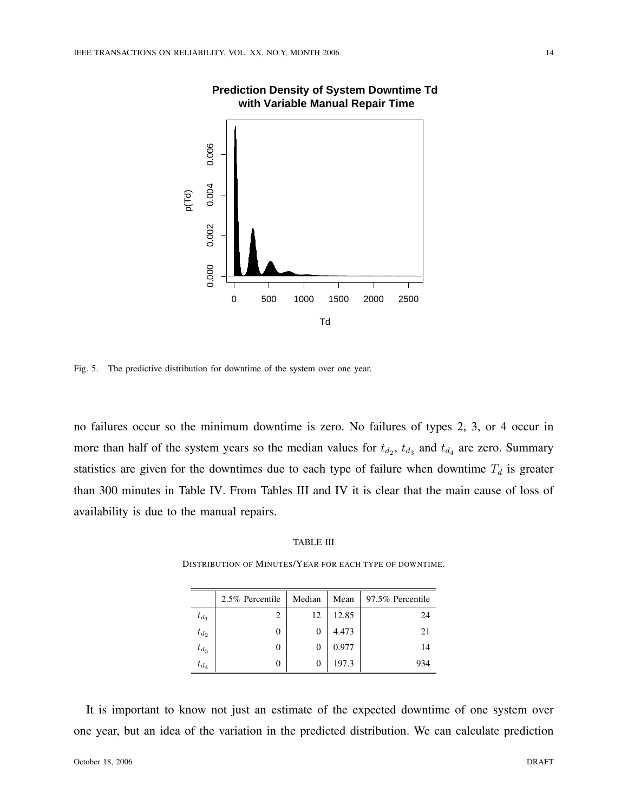

# **Prediction Density of System Downtime Td with Variable Manual Repair Time**

Fig. 5. The predictive distribution for downtime of the system over one year.

no failures occur so the minimum downtime is zero. No failures of types 2, 3, or 4 occur in more than half of the system years so the median values for  $t_{d_2}$ ,  $t_{d_3}$  and  $t_{d_4}$  are zero. Summary statistics are given for the downtimes due to each type of failure when downtime  $T_d$  is greater than 300 minutes in Table IV. From Tables III and IV it is clear that the main cause of loss of availability is due to the manual repairs.

## TABLE III

DISTRIBUTION OF MINUTES/YEAR FOR EACH TYPE OF DOWNTIME.

|           | 2.5% Percentile | Median | Mean  | 97.5% Percentile |
|-----------|-----------------|--------|-------|------------------|
| $t_{d_1}$ | 2               | 12     | 12.85 | 24               |
| $t_{d_2}$ | 0               | 0      | 4.473 | 21               |
| $t_{d_3}$ | 0               | 0      | 0.977 | 14               |
| $t_{d_4}$ | 0               | $_{0}$ | 197.3 | 934              |

It is important to know not just an estimate of the expected downtime of one system over one year, but an idea of the variation in the predicted distribution. We can calculate prediction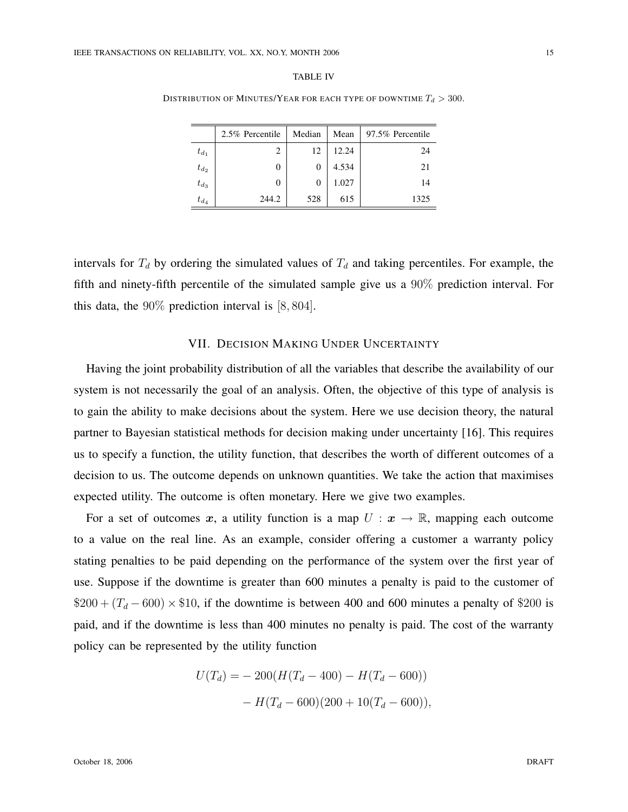| вı |  |
|----|--|
|----|--|

DISTRIBUTION OF MINUTES/YEAR FOR EACH TYPE OF DOWNTIME  $T_d > 300$ .

|           | 2.5% Percentile | Median | Mean  | 97.5% Percentile |
|-----------|-----------------|--------|-------|------------------|
| $t_{d_1}$ | $\overline{c}$  | 12     | 12.24 | 24               |
| $t_{d_2}$ | 0               | 0      | 4.534 | 21               |
| $t_{d_3}$ | 0               | 0      | 1.027 | 14               |
| $t_{d_A}$ | 244.2           | 528    | 615   | 1325             |

intervals for  $T_d$  by ordering the simulated values of  $T_d$  and taking percentiles. For example, the fifth and ninety-fifth percentile of the simulated sample give us a 90% prediction interval. For this data, the 90% prediction interval is [8, 804].

## VII. DECISION MAKING UNDER UNCERTAINTY

Having the joint probability distribution of all the variables that describe the availability of our system is not necessarily the goal of an analysis. Often, the objective of this type of analysis is to gain the ability to make decisions about the system. Here we use decision theory, the natural partner to Bayesian statistical methods for decision making under uncertainty [16]. This requires us to specify a function, the utility function, that describes the worth of different outcomes of a decision to us. The outcome depends on unknown quantities. We take the action that maximises expected utility. The outcome is often monetary. Here we give two examples.

For a set of outcomes x, a utility function is a map  $U: x \to \mathbb{R}$ , mapping each outcome to a value on the real line. As an example, consider offering a customer a warranty policy stating penalties to be paid depending on the performance of the system over the first year of use. Suppose if the downtime is greater than 600 minutes a penalty is paid to the customer of  $$200 + (T_d - 600) \times $10$ , if the downtime is between 400 and 600 minutes a penalty of \$200 is paid, and if the downtime is less than 400 minutes no penalty is paid. The cost of the warranty policy can be represented by the utility function

$$
U(T_d) = -200(H(T_d - 400) - H(T_d - 600))
$$

$$
- H(T_d - 600)(200 + 10(T_d - 600)),
$$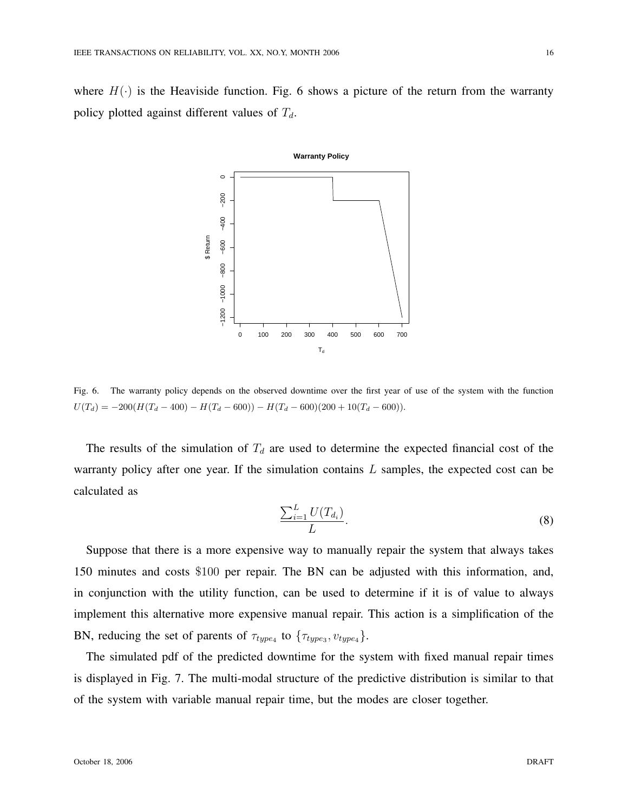where  $H(\cdot)$  is the Heaviside function. Fig. 6 shows a picture of the return from the warranty policy plotted against different values of  $T_d$ .



Fig. 6. The warranty policy depends on the observed downtime over the first year of use of the system with the function  $U(T_d) = -200(H(T_d - 400) - H(T_d - 600)) - H(T_d - 600)(200 + 10(T_d - 600)).$ 

The results of the simulation of  $T_d$  are used to determine the expected financial cost of the warranty policy after one year. If the simulation contains  $L$  samples, the expected cost can be calculated as

$$
\frac{\sum_{i=1}^{L} U(T_{d_i})}{L}.
$$
\n(8)

Suppose that there is a more expensive way to manually repair the system that always takes 150 minutes and costs \$100 per repair. The BN can be adjusted with this information, and, in conjunction with the utility function, can be used to determine if it is of value to always implement this alternative more expensive manual repair. This action is a simplification of the BN, reducing the set of parents of  $\tau_{type_4}$  to  $\{\tau_{type_3}, v_{type_4}\}.$ 

The simulated pdf of the predicted downtime for the system with fixed manual repair times is displayed in Fig. 7. The multi-modal structure of the predictive distribution is similar to that of the system with variable manual repair time, but the modes are closer together.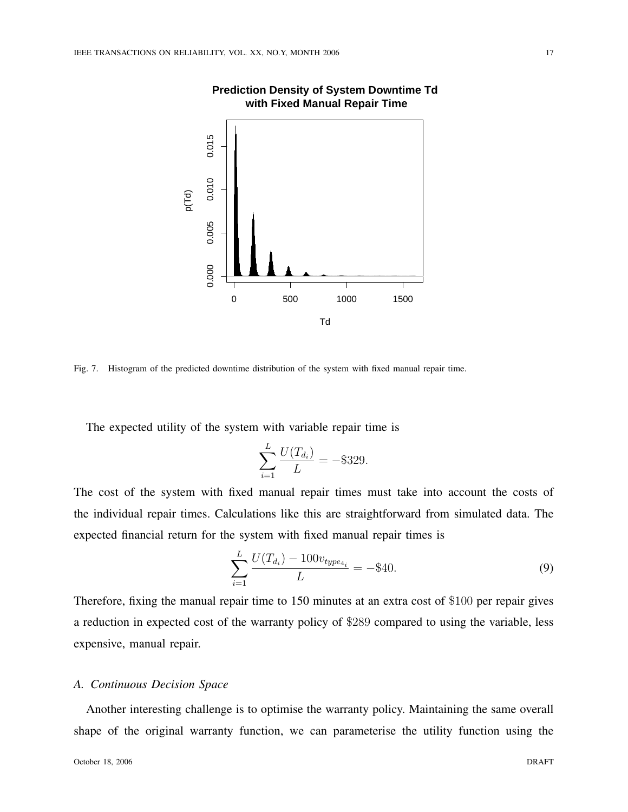

# **Prediction Density of System Downtime Td with Fixed Manual Repair Time**

Fig. 7. Histogram of the predicted downtime distribution of the system with fixed manual repair time.

The expected utility of the system with variable repair time is

$$
\sum_{i=1}^{L} \frac{U(T_{d_i})}{L} = -\$329.
$$

The cost of the system with fixed manual repair times must take into account the costs of the individual repair times. Calculations like this are straightforward from simulated data. The expected financial return for the system with fixed manual repair times is

$$
\sum_{i=1}^{L} \frac{U(T_{d_i}) - 100v_{type_{4_i}}}{L} = -\$40.
$$
\n(9)

Therefore, fixing the manual repair time to 150 minutes at an extra cost of \$100 per repair gives a reduction in expected cost of the warranty policy of \$289 compared to using the variable, less expensive, manual repair.

# *A. Continuous Decision Space*

Another interesting challenge is to optimise the warranty policy. Maintaining the same overall shape of the original warranty function, we can parameterise the utility function using the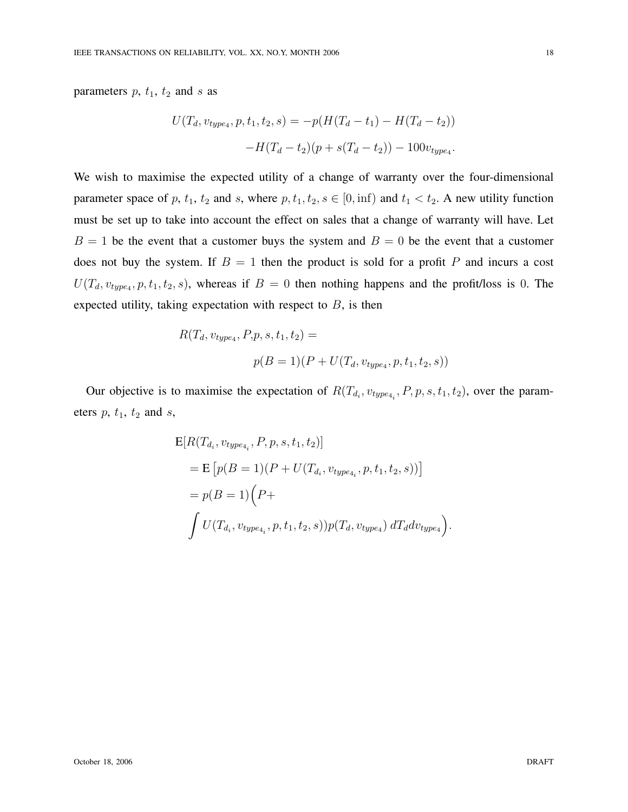parameters  $p$ ,  $t_1$ ,  $t_2$  and  $s$  as

$$
U(T_d, v_{type4}, p, t_1, t_2, s) = -p(H(T_d - t_1) - H(T_d - t_2))
$$

$$
-H(T_d - t_2)(p + s(T_d - t_2)) - 100v_{type4}.
$$

We wish to maximise the expected utility of a change of warranty over the four-dimensional parameter space of p,  $t_1$ ,  $t_2$  and s, where  $p$ ,  $t_1$ ,  $t_2$ ,  $s \in [0, \text{inf})$  and  $t_1 < t_2$ . A new utility function must be set up to take into account the effect on sales that a change of warranty will have. Let  $B = 1$  be the event that a customer buys the system and  $B = 0$  be the event that a customer does not buy the system. If  $B = 1$  then the product is sold for a profit P and incurs a cost  $U(T_d, v_{type4}, p, t_1, t_2, s)$ , whereas if  $B = 0$  then nothing happens and the profit/loss is 0. The expected utility, taking expectation with respect to  $B$ , is then

$$
R(T_d, v_{type_4}, P, p, s, t_1, t_2) =
$$
  

$$
p(B = 1)(P + U(T_d, v_{type_4}, p, t_1, t_2, s))
$$

Our objective is to maximise the expectation of  $R(T_{d_i}, v_{type_{4_i}}, P, p, s, t_1, t_2)$ , over the parameters  $p$ ,  $t_1$ ,  $t_2$  and  $s$ ,

$$
E[R(T_{d_i}, v_{type_{4_i}}, P, p, s, t_1, t_2)]
$$
  
=  $E[p(B = 1)(P + U(T_{d_i}, v_{type_{4_i}}, p, t_1, t_2, s))]$   
=  $p(B = 1)(P +$   
 $\int U(T_{d_i}, v_{type_{4_i}}, p, t_1, t_2, s))p(T_d, v_{type_4}) dT_d dv_{type_4}.$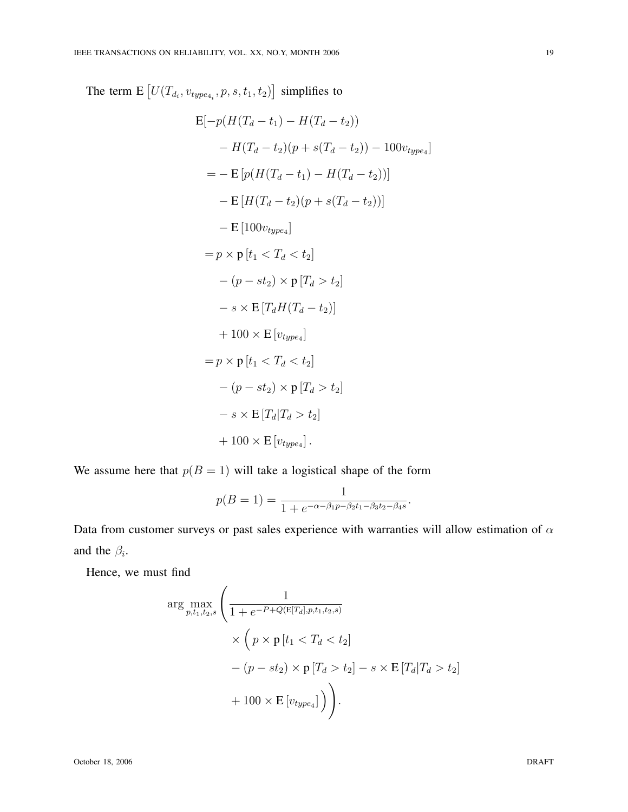The term  $E[U(T_{d_i}, v_{type_{4_i}}, p, s, t_1, t_2)]$ ¤ simplifies to

$$
E[-p(H(T_d - t_1) - H(T_d - t_2))
$$
  
\n
$$
- H(T_d - t_2)(p + s(T_d - t_2)) - 100v_{type_4}]
$$
  
\n
$$
= - E[p(H(T_d - t_1) - H(T_d - t_2))]
$$
  
\n
$$
- E[H(T_d - t_2)(p + s(T_d - t_2))]
$$
  
\n
$$
- E[100v_{type_4}]
$$
  
\n
$$
= p \times p[t_1 < T_d < t_2]
$$
  
\n
$$
- (p - st_2) \times p[T_d > t_2]
$$
  
\n
$$
- s \times E[T_d H(T_d - t_2)]
$$
  
\n
$$
+ 100 \times E[v_{type_4}]
$$
  
\n
$$
= p \times p[t_1 < T_d < t_2]
$$
  
\n
$$
- (p - st_2) \times p[T_d > t_2]
$$
  
\n
$$
+ s \times E[T_d | T_d > t_2]
$$
  
\n
$$
+ 100 \times E[v_{type_4}].
$$

We assume here that  $p(B = 1)$  will take a logistical shape of the form

$$
p(B = 1) = \frac{1}{1 + e^{-\alpha - \beta_1 p - \beta_2 t_1 - \beta_3 t_2 - \beta_4 s}}.
$$

Data from customer surveys or past sales experience with warranties will allow estimation of  $\alpha$ and the  $\beta_i$ .

Hence, we must find

$$
\arg \max_{p,t_1,t_2,s} \left( \frac{1}{1 + e^{-P + Q(E[T_d], p, t_1, t_2, s)}} \times \left( p \times p \left[ t_1 < T_d < t_2 \right] \right. \\ \left. \qquad \qquad \times \left( p \times p \left[ t_1 < T_d < t_2 \right] \right. \\ \left. \qquad \qquad \left. \qquad \right. \left. \left. \left( T_d \right| T_d > t_2 \right] \right. \right. \\ \left. \qquad \qquad \left. \qquad \qquad \right. \left. + 100 \times E\left[ v_{type_4} \right] \right) \right) .
$$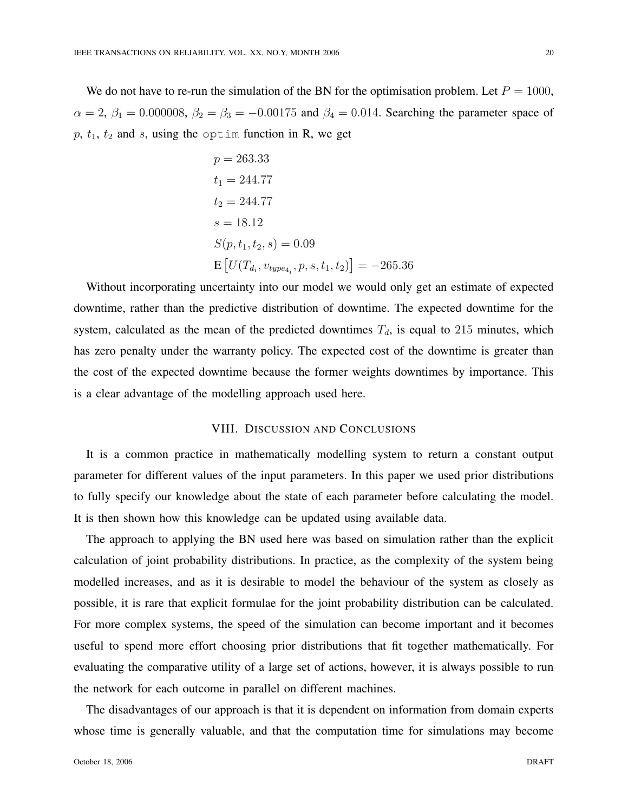We do not have to re-run the simulation of the BN for the optimisation problem. Let  $P = 1000$ ,  $\alpha = 2$ ,  $\beta_1 = 0.000008$ ,  $\beta_2 = \beta_3 = -0.00175$  and  $\beta_4 = 0.014$ . Searching the parameter space of  $p, t_1, t_2$  and s, using the optim function in R, we get

$$
p = 263.33
$$
  
\n $t_1 = 244.77$   
\n $t_2 = 244.77$   
\n $s = 18.12$   
\n $S(p, t_1, t_2, s) = 0.09$   
\n $E[U(T_{d_i}, v_{type_{4_i}}, p, s, t_1, t_2)] = -265.36$ 

Without incorporating uncertainty into our model we would only get an estimate of expected downtime, rather than the predictive distribution of downtime. The expected downtime for the system, calculated as the mean of the predicted downtimes  $T_d$ , is equal to 215 minutes, which has zero penalty under the warranty policy. The expected cost of the downtime is greater than the cost of the expected downtime because the former weights downtimes by importance. This is a clear advantage of the modelling approach used here.

## VIII. DISCUSSION AND CONCLUSIONS

It is a common practice in mathematically modelling system to return a constant output parameter for different values of the input parameters. In this paper we used prior distributions to fully specify our knowledge about the state of each parameter before calculating the model. It is then shown how this knowledge can be updated using available data.

The approach to applying the BN used here was based on simulation rather than the explicit calculation of joint probability distributions. In practice, as the complexity of the system being modelled increases, and as it is desirable to model the behaviour of the system as closely as possible, it is rare that explicit formulae for the joint probability distribution can be calculated. For more complex systems, the speed of the simulation can become important and it becomes useful to spend more effort choosing prior distributions that fit together mathematically. For evaluating the comparative utility of a large set of actions, however, it is always possible to run the network for each outcome in parallel on different machines.

The disadvantages of our approach is that it is dependent on information from domain experts whose time is generally valuable, and that the computation time for simulations may become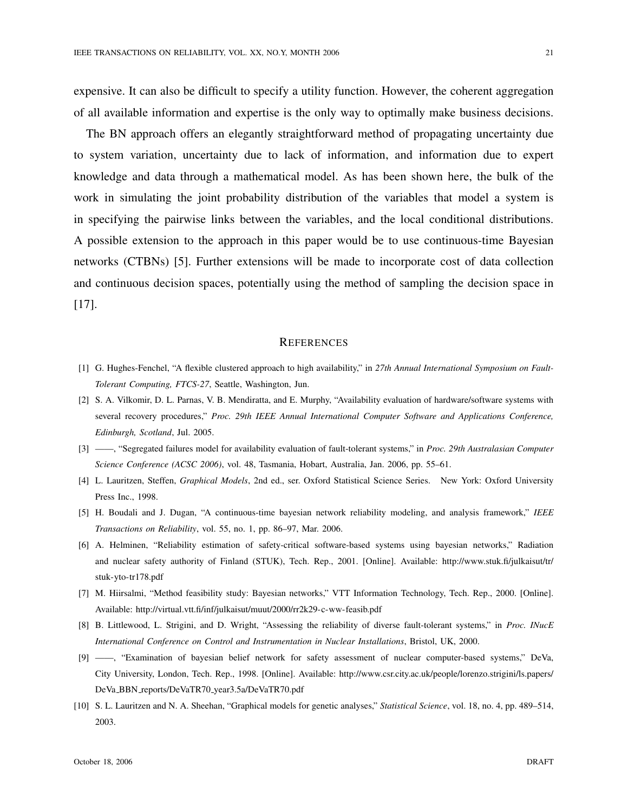expensive. It can also be difficult to specify a utility function. However, the coherent aggregation of all available information and expertise is the only way to optimally make business decisions.

The BN approach offers an elegantly straightforward method of propagating uncertainty due to system variation, uncertainty due to lack of information, and information due to expert knowledge and data through a mathematical model. As has been shown here, the bulk of the work in simulating the joint probability distribution of the variables that model a system is in specifying the pairwise links between the variables, and the local conditional distributions. A possible extension to the approach in this paper would be to use continuous-time Bayesian networks (CTBNs) [5]. Further extensions will be made to incorporate cost of data collection and continuous decision spaces, potentially using the method of sampling the decision space in [17].

## **REFERENCES**

- [1] G. Hughes-Fenchel, "A flexible clustered approach to high availability," in *27th Annual International Symposium on Fault-Tolerant Computing, FTCS-27*, Seattle, Washington, Jun.
- [2] S. A. Vilkomir, D. L. Parnas, V. B. Mendiratta, and E. Murphy, "Availability evaluation of hardware/software systems with several recovery procedures," *Proc. 29th IEEE Annual International Computer Software and Applications Conference, Edinburgh, Scotland*, Jul. 2005.
- [3] ——, "Segregated failures model for availability evaluation of fault-tolerant systems," in *Proc. 29th Australasian Computer Science Conference (ACSC 2006)*, vol. 48, Tasmania, Hobart, Australia, Jan. 2006, pp. 55–61.
- [4] L. Lauritzen, Steffen, *Graphical Models*, 2nd ed., ser. Oxford Statistical Science Series. New York: Oxford University Press Inc., 1998.
- [5] H. Boudali and J. Dugan, "A continuous-time bayesian network reliability modeling, and analysis framework," *IEEE Transactions on Reliability*, vol. 55, no. 1, pp. 86–97, Mar. 2006.
- [6] A. Helminen, "Reliability estimation of safety-critical software-based systems using bayesian networks," Radiation and nuclear safety authority of Finland (STUK), Tech. Rep., 2001. [Online]. Available: http://www.stuk.fi/julkaisut/tr/ stuk-yto-tr178.pdf
- [7] M. Hiirsalmi, "Method feasibility study: Bayesian networks," VTT Information Technology, Tech. Rep., 2000. [Online]. Available: http://virtual.vtt.fi/inf/julkaisut/muut/2000/rr2k29-c-ww-feasib.pdf
- [8] B. Littlewood, L. Strigini, and D. Wright, "Assessing the reliability of diverse fault-tolerant systems," in *Proc. INucE International Conference on Control and Instrumentation in Nuclear Installations*, Bristol, UK, 2000.
- [9] ——, "Examination of bayesian belief network for safety assessment of nuclear computer-based systems," DeVa, City University, London, Tech. Rep., 1998. [Online]. Available: http://www.csr.city.ac.uk/people/lorenzo.strigini/ls.papers/ DeVa BBN reports/DeVaTR70 year3.5a/DeVaTR70.pdf
- [10] S. L. Lauritzen and N. A. Sheehan, "Graphical models for genetic analyses," *Statistical Science*, vol. 18, no. 4, pp. 489–514, 2003.